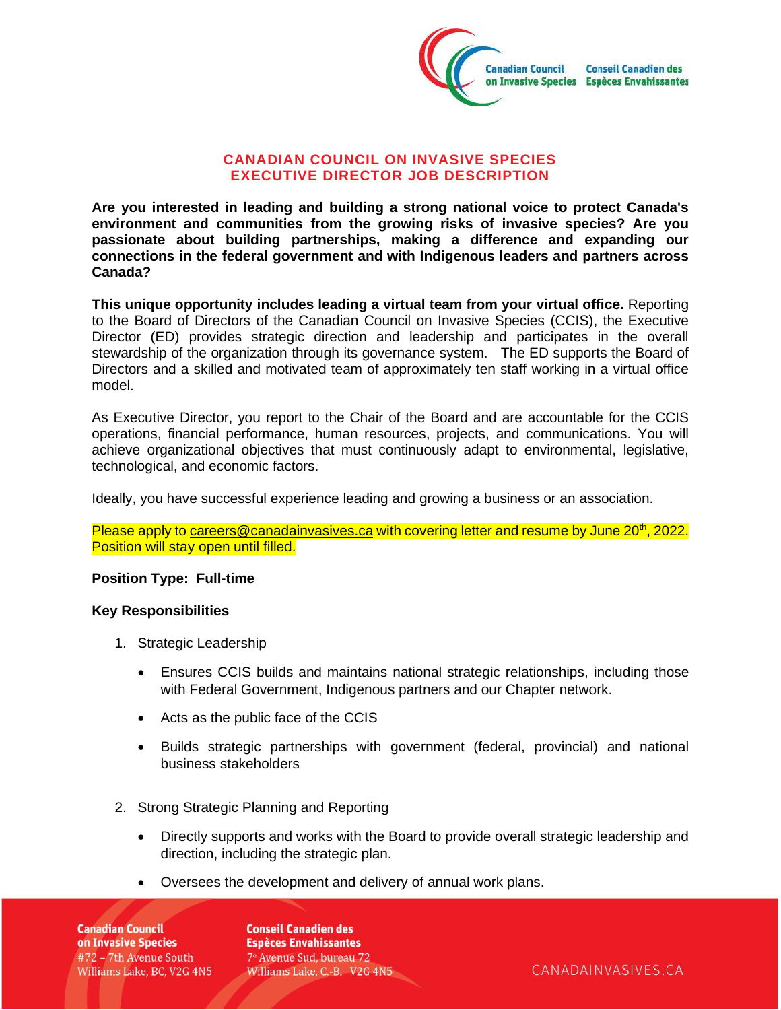

### **CANADIAN COUNCIL ON INVASIVE SPECIES EXECUTIVE DIRECTOR JOB DESCRIPTION**

**Are you interested in leading and building a strong national voice to protect Canada's environment and communities from the growing risks of invasive species? Are you passionate about building partnerships, making a difference and expanding our connections in the federal government and with Indigenous leaders and partners across Canada?**

**This unique opportunity includes leading a virtual team from your virtual office.** Reporting to the Board of Directors of the Canadian Council on Invasive Species (CCIS), the Executive Director (ED) provides strategic direction and leadership and participates in the overall stewardship of the organization through its governance system. The ED supports the Board of Directors and a skilled and motivated team of approximately ten staff working in a virtual office model.

As Executive Director, you report to the Chair of the Board and are accountable for the CCIS operations, financial performance, human resources, projects, and communications. You will achieve organizational objectives that must continuously adapt to environmental, legislative, technological, and economic factors.

Ideally, you have successful experience leading and growing a business or an association.

Please apply t[o careers@canadainvasives.ca](mailto:careers@canadainvasives.ca) with covering letter and resume by June 20<sup>th</sup>, 2022. Position will stay open until filled.

#### **Position Type: Full-time**

#### **Key Responsibilities**

- 1. Strategic Leadership
	- Ensures CCIS builds and maintains national strategic relationships, including those with Federal Government, Indigenous partners and our Chapter network.
	- Acts as the public face of the CCIS
	- Builds strategic partnerships with government (federal, provincial) and national business stakeholders
- 2. Strong Strategic Planning and Reporting
	- Directly supports and works with the Board to provide overall strategic leadership and direction, including the strategic plan.
	- Oversees the development and delivery of annual work plans.

**Canadian Council** on Invasive Species #72 - 7th Avenue South Williams Lake, BC, V2G 4N5

**Conseil Canadien des Espèces Envahissantes** 7<sup>e</sup> Avenue Sud, bureau 72 Williams Lake, C.-B. V2G 4N5

CANADAINVASIVES.CA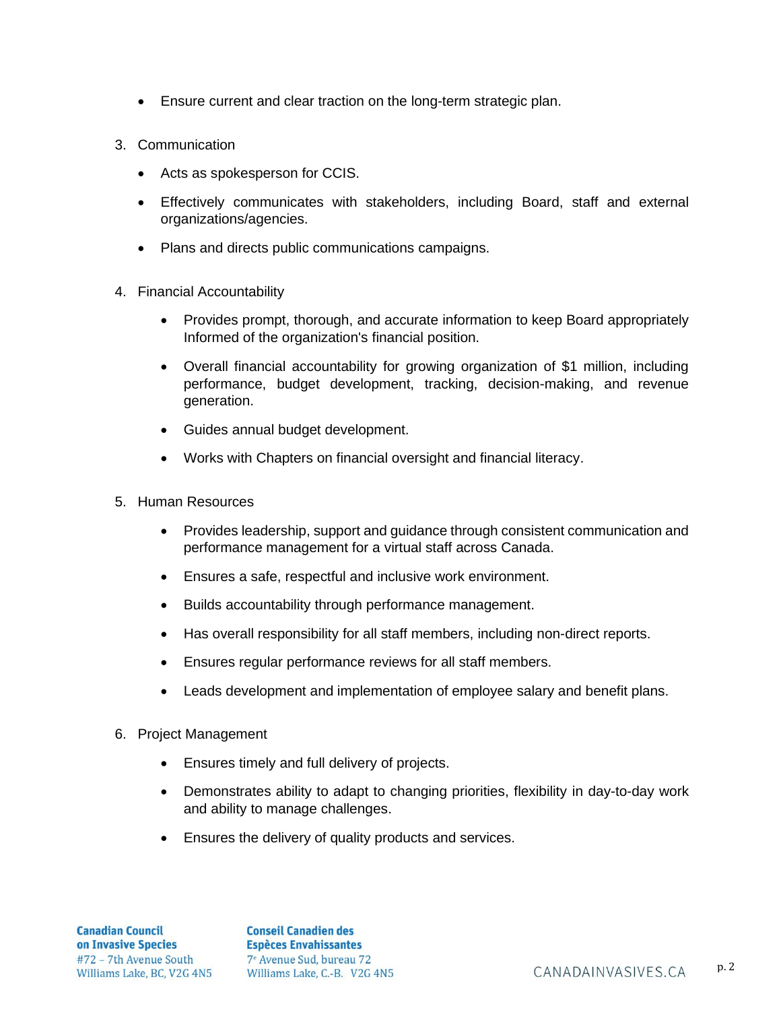- Ensure current and clear traction on the long-term strategic plan.
- 3. Communication
	- Acts as spokesperson for CCIS.
	- Effectively communicates with stakeholders, including Board, staff and external organizations/agencies.
	- Plans and directs public communications campaigns.
- 4. Financial Accountability
	- Provides prompt, thorough, and accurate information to keep Board appropriately Informed of the organization's financial position.
	- Overall financial accountability for growing organization of \$1 million, including performance, budget development, tracking, decision-making, and revenue generation.
	- Guides annual budget development.
	- Works with Chapters on financial oversight and financial literacy.
- 5. Human Resources
	- Provides leadership, support and guidance through consistent communication and performance management for a virtual staff across Canada.
	- Ensures a safe, respectful and inclusive work environment.
	- Builds accountability through performance management.
	- Has overall responsibility for all staff members, including non-direct reports.
	- Ensures regular performance reviews for all staff members.
	- Leads development and implementation of employee salary and benefit plans.
- 6. Project Management
	- Ensures timely and full delivery of projects.
	- Demonstrates ability to adapt to changing priorities, flexibility in day-to-day work and ability to manage challenges.
	- Ensures the delivery of quality products and services.

**Conseil Canadien des Espèces Envahissantes** 7<sup>e</sup> Avenue Sud, bureau 72 Williams Lake, BC, V2G 4N5 Williams Lake, C.-B. V2G 4N5